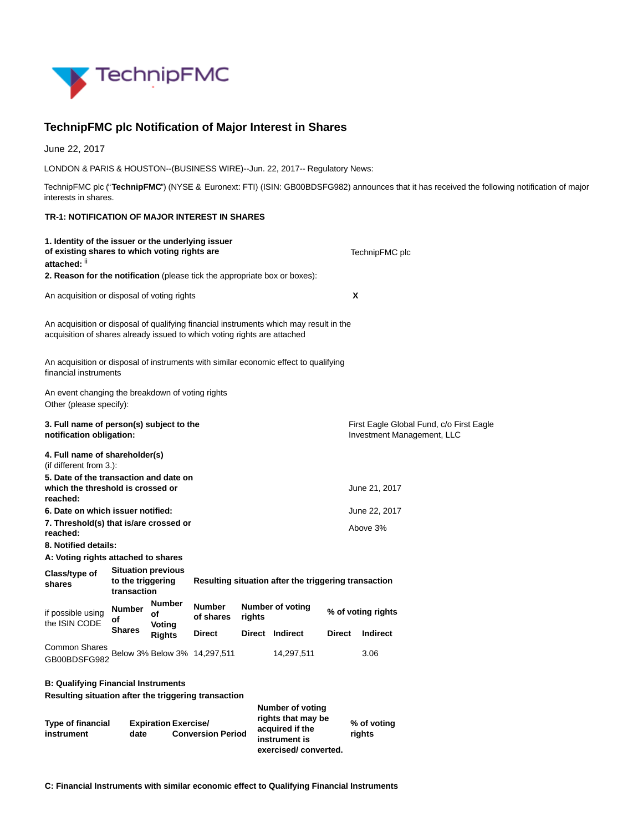

## **TechnipFMC plc Notification of Major Interest in Shares**

June 22, 2017

LONDON & PARIS & HOUSTON--(BUSINESS WIRE)--Jun. 22, 2017-- Regulatory News:

TechnipFMC plc ("**TechnipFMC**") (NYSE & Euronext: FTI) (ISIN: GB00BDSFG982) announces that it has received the following notification of major interests in shares.

## **TR-1: NOTIFICATION OF MAJOR INTEREST IN SHARES**

| 1. Identity of the issuer or the underlying issuer<br>of existing shares to which voting rights are<br>attached: ii                                                |                        |                                                      |        |                                                                                | TechnipFMC plc |               |                       |  |  |
|--------------------------------------------------------------------------------------------------------------------------------------------------------------------|------------------------|------------------------------------------------------|--------|--------------------------------------------------------------------------------|----------------|---------------|-----------------------|--|--|
| 2. Reason for the notification (please tick the appropriate box or boxes):                                                                                         |                        |                                                      |        |                                                                                |                |               |                       |  |  |
|                                                                                                                                                                    |                        |                                                      |        |                                                                                |                |               |                       |  |  |
| An acquisition or disposal of voting rights                                                                                                                        |                        |                                                      |        |                                                                                | X              |               |                       |  |  |
| An acquisition or disposal of qualifying financial instruments which may result in the<br>acquisition of shares already issued to which voting rights are attached |                        |                                                      |        |                                                                                |                |               |                       |  |  |
| An acquisition or disposal of instruments with similar economic effect to qualifying<br>financial instruments                                                      |                        |                                                      |        |                                                                                |                |               |                       |  |  |
| An event changing the breakdown of voting rights<br>Other (please specify):                                                                                        |                        |                                                      |        |                                                                                |                |               |                       |  |  |
| 3. Full name of person(s) subject to the<br>notification obligation:                                                                                               |                        |                                                      |        | First Eagle Global Fund, c/o First Eagle<br>Investment Management, LLC         |                |               |                       |  |  |
| 4. Full name of shareholder(s)<br>(if different from $3.$ ):                                                                                                       |                        |                                                      |        |                                                                                |                |               |                       |  |  |
| 5. Date of the transaction and date on<br>which the threshold is crossed or<br>June 21, 2017<br>reached:                                                           |                        |                                                      |        |                                                                                |                |               |                       |  |  |
| 6. Date on which issuer notified:                                                                                                                                  |                        |                                                      |        |                                                                                |                |               | June 22, 2017         |  |  |
| 7. Threshold(s) that is/are crossed or<br>reached:                                                                                                                 |                        |                                                      |        |                                                                                |                |               | Above 3%              |  |  |
| 8. Notified details:                                                                                                                                               |                        |                                                      |        |                                                                                |                |               |                       |  |  |
| A: Voting rights attached to shares                                                                                                                                |                        |                                                      |        |                                                                                |                |               |                       |  |  |
| <b>Situation previous</b><br>Class/type of<br>to the triggering<br>shares<br>transaction                                                                           |                        | Resulting situation after the triggering transaction |        |                                                                                |                |               |                       |  |  |
| <b>Number</b><br>if possible using<br>οf<br>the ISIN CODE                                                                                                          | Number<br>οf<br>Voting | <b>Number</b><br>of shares                           | rights | <b>Number of voting</b>                                                        |                |               | % of voting rights    |  |  |
| <b>Shares</b>                                                                                                                                                      | <b>Rights</b>          | <b>Direct</b>                                        |        | Direct Indirect                                                                |                | <b>Direct</b> | <b>Indirect</b>       |  |  |
| Common Shares<br>Below 3% Below 3% 14,297,511<br>14,297,511<br>3.06<br>GB00BDSFG982                                                                                |                        |                                                      |        |                                                                                |                |               |                       |  |  |
| <b>B: Qualifying Financial Instruments</b><br>Resulting situation after the triggering transaction<br><b>Number of voting</b>                                      |                        |                                                      |        |                                                                                |                |               |                       |  |  |
| Type of financial<br><b>Expiration Exercise/</b><br>instrument<br>date<br><b>Conversion Period</b>                                                                 |                        |                                                      |        | rights that may be<br>acquired if the<br>instrument is<br>exercised/converted. |                |               | % of voting<br>rights |  |  |

**C: Financial Instruments with similar economic effect to Qualifying Financial Instruments**